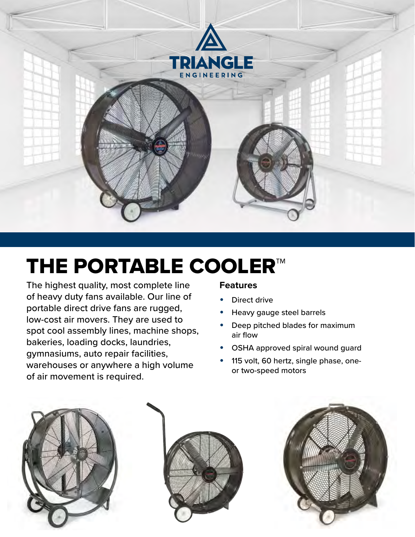

# THE PORTABLE COOLER™

The highest quality, most complete line of heavy duty fans available. Our line of portable direct drive fans are rugged, low-cost air movers. They are used to spot cool assembly lines, machine shops, bakeries, loading docks, laundries, gymnasiums, auto repair facilities, warehouses or anywhere a high volume of air movement is required.

#### **Features**

- Direct drive
- Heavy gauge steel barrels
- Deep pitched blades for maximum air flow
- OSHA approved spiral wound guard
- 115 volt, 60 hertz, single phase, oneor two-speed motors





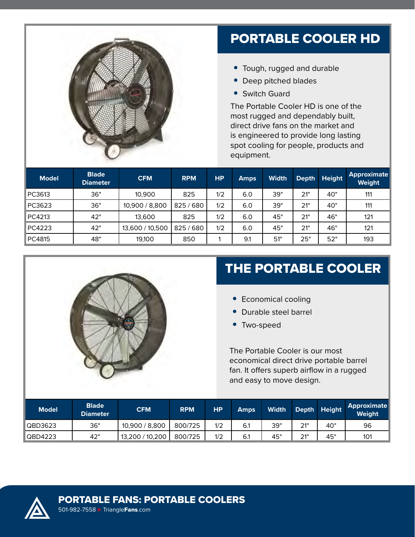

#### PORTABLE COOLER HD

- Tough, rugged and durable
- Deep pitched blades
- Switch Guard

The Portable Cooler HD is one of the most rugged and dependably built, direct drive fans on the market and is engineered to provide long lasting spot cooling for people, products and equipment.

| <b>Model</b> | <b>Blade</b><br><b>Diameter</b> | <b>CFM</b>      | <b>RPM</b> | HP. | <b>Amps</b> | <b>Width</b> | <b>Depth</b> | <b>Height</b> | <b>Approximate</b><br><b>Weight</b> |
|--------------|---------------------------------|-----------------|------------|-----|-------------|--------------|--------------|---------------|-------------------------------------|
| PC3613       | 36"                             | 10,900          | 825        | 1/2 | 6.0         | 39"          | 21"          | 40"           | 111                                 |
| PC3623       | 36"                             | 10,900 / 8,800  | 825/680    | 1/2 | 6.0         | 39"          | 21"          | 40"           | 111                                 |
| PC4213       | 42"                             | 13.600          | 825        | 1/2 | 6.0         | 45"          | 21"          | 46"           | 121                                 |
| PC4223       | 42"                             | 13,600 / 10,500 | 825/680    | 1/2 | 6.0         | 45"          | 21"          | 46"           | 121                                 |
| PC4815       | 48"                             | 19,100          | 850        |     | 9.1         | 51"          | 25"          | 52"           | 193                                 |



## THE PORTABLE COOLER

- Economical cooling
- Durable steel barrel
- Two-speed

The Portable Cooler is our most economical direct drive portable barrel fan. It offers superb airflow in a rugged and easy to move design.

| <b>Model</b> | <b>Blade</b><br><b>Diameter</b> | <b>CFM</b>      | <b>RPM</b> | <b>HP</b> | <b>Amps</b> | <b>Width</b> |     | Depth Height | Approximate<br><b>Weight</b> |
|--------------|---------------------------------|-----------------|------------|-----------|-------------|--------------|-----|--------------|------------------------------|
| QBD3623      | 36"                             | 10,900 / 8,800  | 800/725    | 1/2       | 6.1         | 39"          | 21" | 40"          | 96                           |
| QBD4223      | 42"                             | 13,200 / 10,200 | 800/725    | 1/2       | 6.1         | 45"          | 21" | 45"          | 101                          |

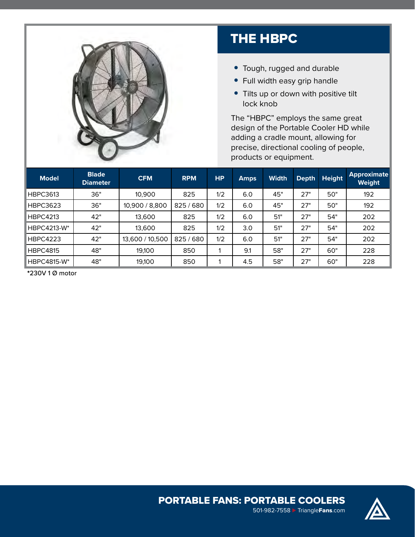

### THE HBPC

- Tough, rugged and durable
- Full width easy grip handle
- Tilts up or down with positive tilt lock knob

The "HBPC" employs the same great design of the Portable Cooler HD while adding a cradle mount, allowing for precise, directional cooling of people, products or equipment.

| <b>Model</b>       | <b>Blade</b><br><b>Diameter</b> | <b>CFM</b>      | <b>RPM</b> | <b>HP</b> | <b>Amps</b> | <b>Width</b> | <b>Depth</b> | <b>Height</b> | Approximate  <br>Weight |
|--------------------|---------------------------------|-----------------|------------|-----------|-------------|--------------|--------------|---------------|-------------------------|
| <b>HBPC3613</b>    | 36"                             | 10,900          | 825        | 1/2       | 6.0         | 45"          | 27"          | 50"           | 192                     |
| <b>HBPC3623</b>    | 36"                             | 10,900 / 8,800  | 825/680    | 1/2       | 6.0         | 45"          | 27"          | 50"           | 192                     |
| <b>HBPC4213</b>    | 42"                             | 13,600          | 825        | 1/2       | 6.0         | 51"          | 27"          | 54"           | 202                     |
| <b>HBPC4213-W*</b> | 42"                             | 13,600          | 825        | 1/2       | 3.0         | 51"          | 27"          | 54"           | 202                     |
| <b>HBPC4223</b>    | 42"                             | 13,600 / 10,500 | 825/680    | 1/2       | 6.0         | 51"          | 27"          | 54"           | 202                     |
| <b>HBPC4815</b>    | 48"                             | 19.100          | 850        |           | 9.1         | 58"          | 27"          | 60"           | 228                     |
| <b>HBPC4815-W*</b> | 48"                             | 19,100          | 850        |           | 4.5         | 58"          | 27"          | 60"           | 228                     |

\*230V 1 Ø motor





501-982-7558 ► [Triangle](http://www.TriangleFans.com)Fans.com